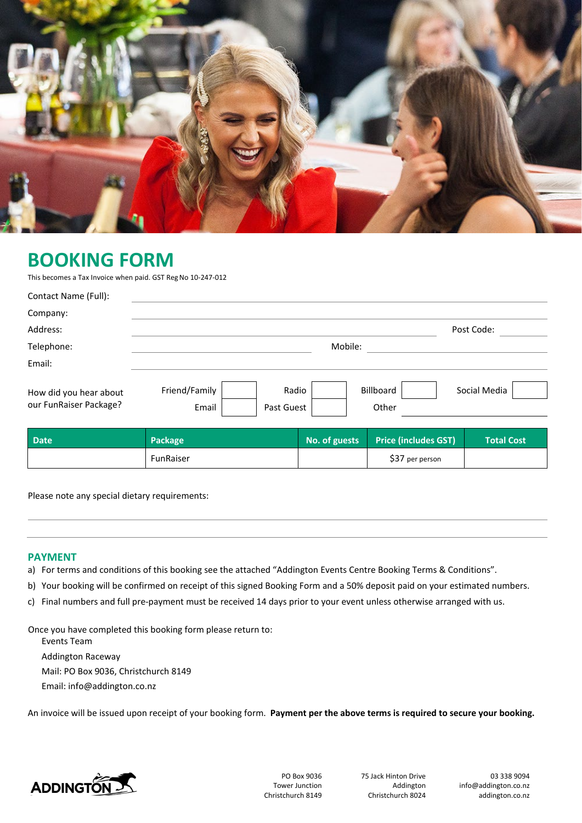

# **BOOKING FORM**

This becomes a Tax Invoice when paid. GST RegNo 10-247-012

| Contact Name (Full):                             |                        |                     |                    |              |  |  |  |
|--------------------------------------------------|------------------------|---------------------|--------------------|--------------|--|--|--|
| Company:                                         |                        |                     |                    |              |  |  |  |
| Address:                                         |                        |                     |                    | Post Code:   |  |  |  |
| Telephone:                                       |                        | Mobile:             |                    |              |  |  |  |
| Email:                                           |                        |                     |                    |              |  |  |  |
| How did you hear about<br>our FunRaiser Package? | Friend/Family<br>Email | Radio<br>Past Guest | Billboard<br>Other | Social Media |  |  |  |

| <b>Date</b> | <b>Package</b> | No. of guests | <b>Price (includes GST)</b> | <b>Total Cost</b> |
|-------------|----------------|---------------|-----------------------------|-------------------|
|             | FunRaiser      |               | \$37 per person             |                   |

Please note any special dietary requirements:

#### **PAYMENT**

- a) For terms and conditions of this booking see the attached "Addington Events Centre Booking Terms & Conditions".
- b) Your booking will be confirmed on receipt of this signed Booking Form and a 50% deposit paid on your estimated numbers.
- c) Final numbers and full pre-payment must be received 14 days prior to your event unless otherwise arranged with us.

Once you have completed this booking form please return to:

Events Team

Addington Raceway

Mail: PO Box 9036, Christchurch 8149

Email[: info@addington.co.nz](mailto:alexandra.king@addington.co.nz)

An invoice will be issued upon receipt of your booking form. **Payment per the above terms is required to secure your booking.**